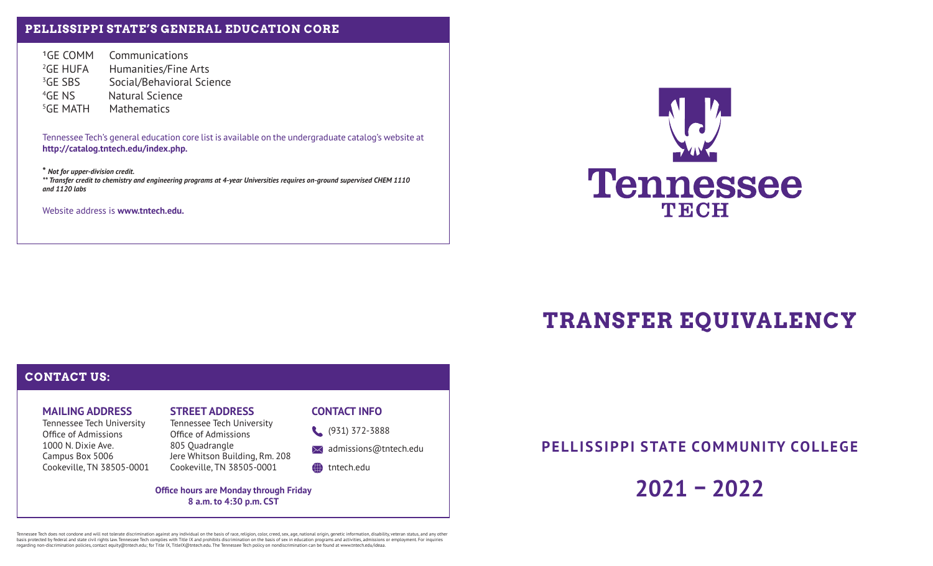## **PELLISSIPPI STATE'S GENERAL EDUCATION CORE**

GE COMM Communications <sup>2</sup>GE HUFA Humanities/Fine Arts <sup>3</sup>GE SBS Social/Behavioral Science 4GE NS Natural Science 5GE MATH Mathematics

Tennessee Tech's general education core list is available on the undergraduate catalog's website at **http://catalog.tntech.edu/index.php.**

**\*** *Not for upper-division credit. \*\* Transfer credit to chemistry and engineering programs at 4-year Universities requires on-ground supervised CHEM 1110 and 1120 labs*

Website address is **www.tntech.edu.**



# **TRANSFER EQUIVALENCY**

# **CONTACT US:**

## **MAILING ADDRESS**

Tennessee Tech University Office of Admissions 1000 N. Dixie Ave. Campus Box 5006 Cookeville, TN 38505-0001

# **STREET ADDRESS**

Tennessee Tech University Office of Admissions 805 Quadrangle Jere Whitson Building, Rm. 208 Cookeville, TN 38505-0001

### **CONTACT INFO**

(931) 372-3888

 $\bowtie$  admissions@tntech.edu

### tntech.edu

**Office hours are Monday through Friday 8 a.m. to 4:30 p.m. CST**

**PELLISSIPPI STATE COMMUNITY COLLEGE**

**2021 – 2022**

Tennessee Tech does not oomdone and will not tolerate discrimination against any individual on the basis of rac, religion, color, creed, sex, age, national origin, genetic information or englosted by reduced by reduced by regarding non-discrimination policies, contact equity@tntech.edu; for Title IX, TitleIX@tntech.edu. The Tennessee Tech policy on nondiscrimination can be found at www.tntech.edu/ideaa.